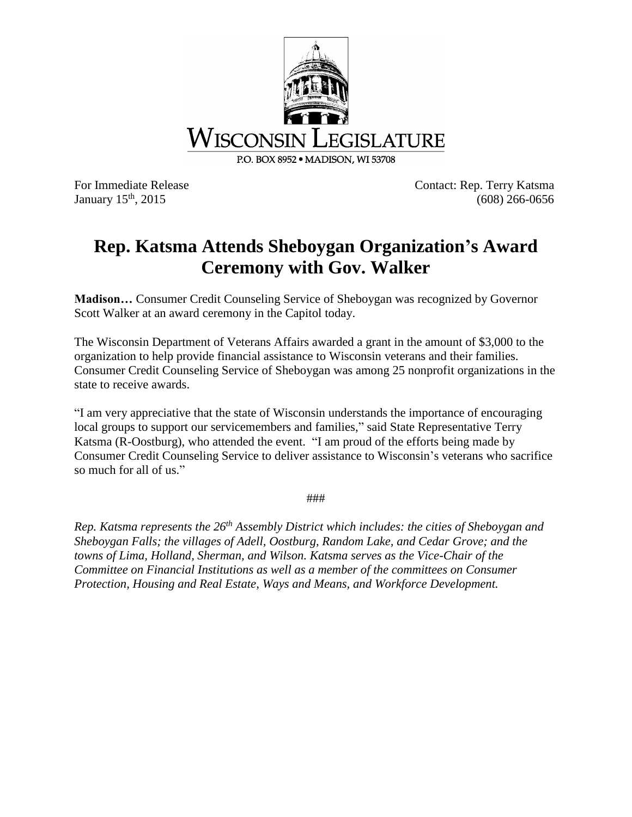

January 15<sup>th</sup>, 2015

For Immediate Release Contact: Rep. Terry Katsma  $(608)$  266-0656

## **Rep. Katsma Attends Sheboygan Organization's Award Ceremony with Gov. Walker**

**Madison…** Consumer Credit Counseling Service of Sheboygan was recognized by Governor Scott Walker at an award ceremony in the Capitol today.

The Wisconsin Department of Veterans Affairs awarded a grant in the amount of \$3,000 to the organization to help provide financial assistance to Wisconsin veterans and their families. Consumer Credit Counseling Service of Sheboygan was among 25 nonprofit organizations in the state to receive awards.

"I am very appreciative that the state of Wisconsin understands the importance of encouraging local groups to support our servicemembers and families," said State Representative Terry Katsma (R-Oostburg), who attended the event. "I am proud of the efforts being made by Consumer Credit Counseling Service to deliver assistance to Wisconsin's veterans who sacrifice so much for all of us."

###

*Rep. Katsma represents the 26th Assembly District which includes: the cities of Sheboygan and Sheboygan Falls; the villages of Adell, Oostburg, Random Lake, and Cedar Grove; and the towns of Lima, Holland, Sherman, and Wilson. Katsma serves as the Vice-Chair of the Committee on Financial Institutions as well as a member of the committees on Consumer Protection, Housing and Real Estate, Ways and Means, and Workforce Development.*